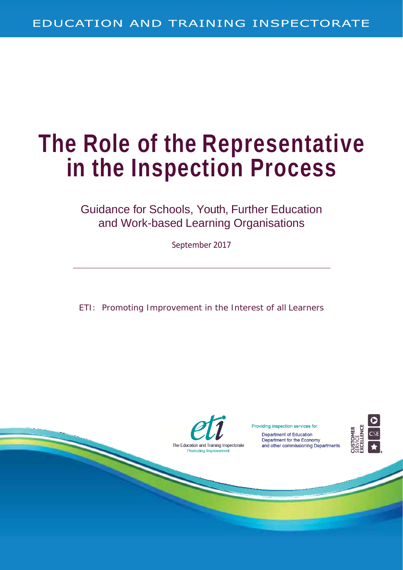# **The Role of the Representative in the Inspection Process**

Guidance for Schools, Youth, Further Education and Work-based Learning Organisations

September 2017

ETI: Promoting Improvement in the Interest of all Learners



Providing inspection services for: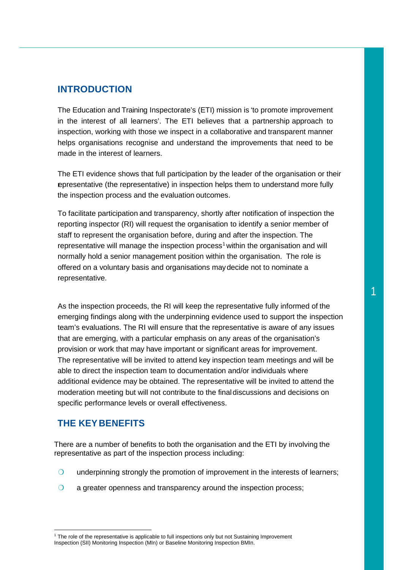## **INTRODUCTION**

The Education and Training Inspectorate's (ETI) mission is 'to promote improvement in the interest of all learners'. The ETI believes that a partnership approach to inspection, working with those we inspect in a collaborative and transparent manner helps organisations recognise and understand the improvements that need to be made in the interest of learners.

The ETI evidence shows that full participation by the leader of the organisation or their representative (the representative) in inspection helps them to understand more fully the inspection process and the evaluation outcomes.

To facilitate participation and transparency, shortly after notification of inspection the reporting inspector (RI) will request the organisation to identify a senior member of staff to represent the organisation before, during and after the inspection. The representative will manage the inspection process<sup>[1](#page-1-0)</sup> within the organisation and will normally hold a senior management position within the organisation. The role is offered on a voluntary basis and organisations maydecide not to nominate a representative.

As the inspection proceeds, the RI will keep the representative fully informed of the emerging findings along with the underpinning evidence used to support the inspection team's evaluations. The RI will ensure that the representative is aware of any issues that are emerging, with a particular emphasis on any areas of the organisation's provision or work that may have important or significant areas for improvement. The representative will be invited to attend key inspection team meetings and will be able to direct the inspection team to documentation and/or individuals where additional evidence may be obtained. The representative will be invited to attend the moderation meeting but will not contribute to the finaldiscussions and decisions on specific performance levels or overall effectiveness.

# **THE KEY BENEFITS**

 $\overline{a}$ 

There are a number of benefits to both the organisation and the ETI by involving the representative as part of the inspection process including:

- ❍ underpinning strongly the promotion of improvement in the interests of learners;
- ❍ a greater openness and transparency around the inspection process;

<span id="page-1-0"></span><sup>&</sup>lt;sup>1</sup> The role of the representative is applicable to full inspections only but not Sustaining Improvement Inspection (SII) Monitoring Inspection (MIn) or Baseline Monitoring Inspection BMIn.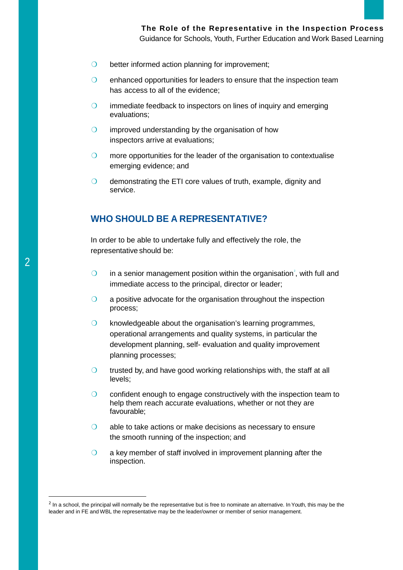- O better informed action planning for improvement;
- O enhanced opportunities for leaders to ensure that the inspection team has access to all of the evidence;
- **O** immediate feedback to inspectors on lines of inquiry and emerging evaluations;
- ❍ improved understanding by the organisation of how inspectors arrive at evaluations;
- O more opportunities for the leader of the organisation to contextualise emerging evidence; and
- O demonstrating the ETI core values of truth, example, dignity and service.

# **WHO SHOULD BE A REPRESENTATIVE?**

In order to be able to undertake fully and effectively the role, the representative should be:

- $\bigcirc$  in a senior management position within the organisation<sup>[2](#page-2-0)</sup>, with full and immediate access to the principal, director or leader;
- ❍ a positive advocate for the organisation throughout the inspection process;
- ❍ knowledgeable about the organisation's learning programmes, operational arrangements and quality systems, in particular the development planning, self- evaluation and quality improvement planning processes;
- $\bigcirc$  trusted by, and have good working relationships with, the staff at all levels;
- ❍ confident enough to engage constructively with the inspection team to help them reach accurate evaluations, whether or not they are favourable;
- ❍ able to take actions or make decisions as necessary to ensure the smooth running of the inspection; and
- $\bigcirc$  a key member of staff involved in improvement planning after the inspection.

<span id="page-2-0"></span><sup>&</sup>lt;sup>2</sup> In a school, the principal will normally be the representative but is free to nominate an alternative. In Youth, this may be the leader and in FE and WBL the representative may be the leader/owner or member of senior management.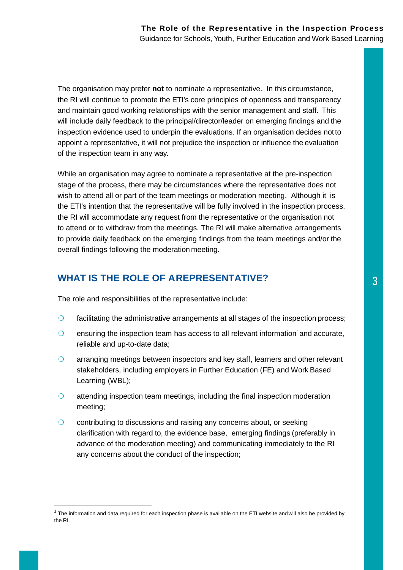The organisation may prefer **not** to nominate a representative. In this circumstance, the RI will continue to promote the ETI's core principles of openness and transparency and maintain good working relationships with the senior management and staff. This will include daily feedback to the principal/director/leader on emerging findings and the inspection evidence used to underpin the evaluations. If an organisation decides not to appoint a representative, it will not prejudice the inspection or influence the evaluation of the inspection team in any way.

While an organisation may agree to nominate a representative at the pre-inspection stage of the process, there may be circumstances where the representative does not wish to attend all or part of the team meetings or moderation meeting. Although it is the ETI's intention that the representative will be fully involved in the inspection process, the RI will accommodate any request from the representative or the organisation not to attend or to withdraw from the meetings. The RI will make alternative arrangements to provide daily feedback on the emerging findings from the team meetings and/or the overall findings following the moderation meeting.

# **WHAT IS THE ROLE OF AREPRESENTATIVE?**  $\begin{array}{|c|c|c|c|}\hline 3 & 3 & 3 \hline \end{array}$

The role and responsibilities of the representative include:

- ❍ facilitating the administrative arrangements at all stages of the inspection process;
- $\bigcirc$  ensuring the inspection team has access to all relevant information and accurate, reliable and up-to-date data;
- ❍ arranging meetings between inspectors and key staff, learners and other relevant stakeholders, including employers in Further Education (FE) and Work Based Learning (WBL);
- ❍ attending inspection team meetings, including the final inspection moderation meeting;
- O contributing to discussions and raising any concerns about, or seeking clarification with regard to, the evidence base, emerging findings (preferably in advance of the moderation meeting) and communicating immediately to the RI any concerns about the conduct of the inspection;

<span id="page-3-0"></span> $3$  The information and data required for each inspection phase is available on the ETI website and will also be provided by the RI.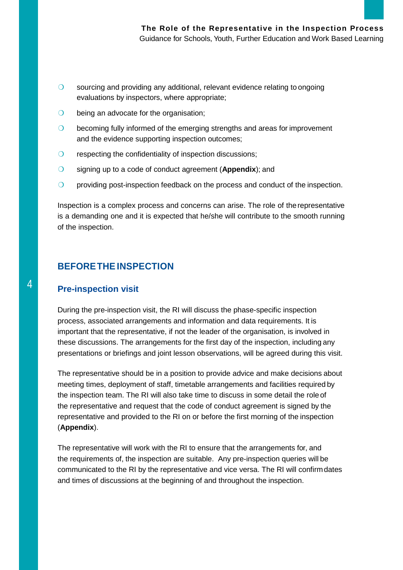- ❍ sourcing and providing any additional, relevant evidence relating to ongoing evaluations by inspectors, where appropriate;
- O being an advocate for the organisation;
- O becoming fully informed of the emerging strengths and areas for improvement and the evidence supporting inspection outcomes;
- O respecting the confidentiality of inspection discussions;
- ❍ signing up to a code of conduct agreement (**Appendix**); and
- O providing post-inspection feedback on the process and conduct of the inspection.

Inspection is a complex process and concerns can arise. The role of therepresentative is a demanding one and it is expected that he/she will contribute to the smooth running of the inspection.

#### **BEFORETHEINSPECTION**

# 4 **Pre-inspection visit**

During the pre-inspection visit, the RI will discuss the phase-specific inspection process, associated arrangements and information and data requirements. It is important that the representative, if not the leader of the organisation, is involved in these discussions. The arrangements for the first day of the inspection, including any presentations or briefings and joint lesson observations, will be agreed during this visit.

The representative should be in a position to provide advice and make decisions about meeting times, deployment of staff, timetable arrangements and facilities required by the inspection team. The RI will also take time to discuss in some detail the role of the representative and request that the code of conduct agreement is signed by the representative and provided to the RI on or before the first morning of the inspection (**Appendix**).

The representative will work with the RI to ensure that the arrangements for, and the requirements of, the inspection are suitable. Any pre-inspection queries will be communicated to the RI by the representative and vice versa. The RI will confirmdates and times of discussions at the beginning of and throughout the inspection.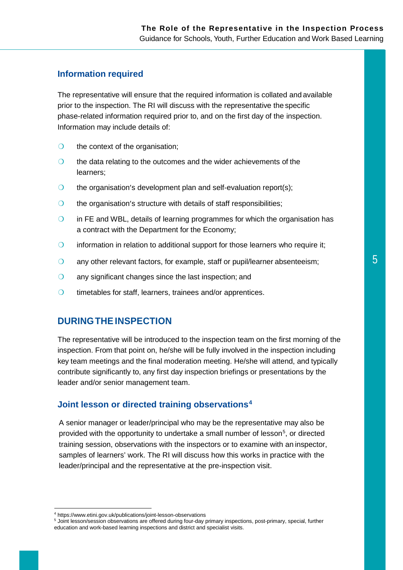#### **Information required**

The representative will ensure that the required information is collated and available prior to the inspection. The RI will discuss with the representative the specific phase-related information required prior to, and on the first day of the inspection. Information may include details of:

- O the context of the organisation;
- O the data relating to the outcomes and the wider achievements of the learners;
- $\bigcirc$  the organisation's development plan and self-evaluation report(s);
- O the organisation's structure with details of staff responsibilities;
- ❍ in FE and WBL, details of learning programmes for which the organisation has a contract with the Department for the Economy;
- ❍ information in relation to additional support for those learners who require it;
- $\circ$  any other relevant factors, for example, staff or pupil/learner absenteeism;  $\overline{\hspace{1cm}}$  5
- O any significant changes since the last inspection; and
- ❍ timetables for staff, learners, trainees and/or apprentices.

#### **DURINGTHEINSPECTION**

The representative will be introduced to the inspection team on the first morning of the inspection. From that point on, he/she will be fully involved in the inspection including key team meetings and the final moderation meeting. He/she will attend, and typically contribute significantly to, any first day inspection briefings or presentations by the leader and/or senior management team.

#### **Joint lesson or directed training observations[4](#page-5-0)**

A senior manager or leader/principal who may be the representative may also be provided with the opportunity to undertake a small number of lesson<sup>[5](#page-5-1)</sup>, or directed training session, observations with the inspectors or to examine with an inspector, samples of learners' work. The RI will discuss how this works in practice with the leader/principal and the representative at the pre-inspection visit.

 $\overline{a}$ 

<span id="page-5-0"></span><sup>4</sup> <https://www.etini.gov.uk/publications/joint-lesson-observations>

<span id="page-5-1"></span><sup>5</sup> Joint lesson/session observations are offered during four-day primary inspections, post-primary, special, further education and work-based learning inspections and district and specialist visits.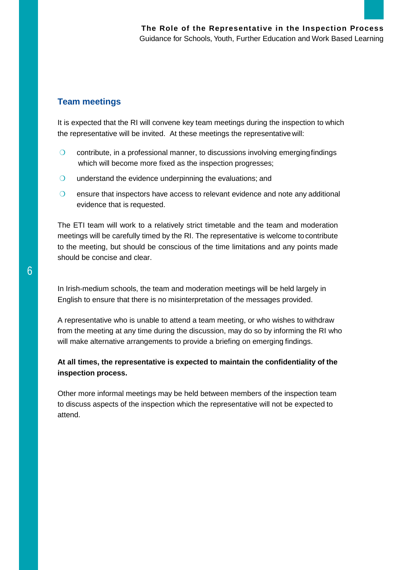## **Team meetings**

It is expected that the RI will convene key team meetings during the inspection to which the representative will be invited. At these meetings the representativewill:

- $\circ$  contribute, in a professional manner, to discussions involving emerging findings which will become more fixed as the inspection progresses;
- O understand the evidence underpinning the evaluations; and
- ❍ ensure that inspectors have access to relevant evidence and note any additional evidence that is requested.

The ETI team will work to a relatively strict timetable and the team and moderation meetings will be carefully timed by the RI. The representative is welcome tocontribute to the meeting, but should be conscious of the time limitations and any points made should be concise and clear.

In Irish-medium schools, the team and moderation meetings will be held largely in English to ensure that there is no misinterpretation of the messages provided.

A representative who is unable to attend a team meeting, or who wishes to withdraw from the meeting at any time during the discussion, may do so by informing the RI who will make alternative arrangements to provide a briefing on emerging findings.

#### **At all times, the representative is expected to maintain the confidentiality of the inspection process.**

Other more informal meetings may be held between members of the inspection team to discuss aspects of the inspection which the representative will not be expected to attend.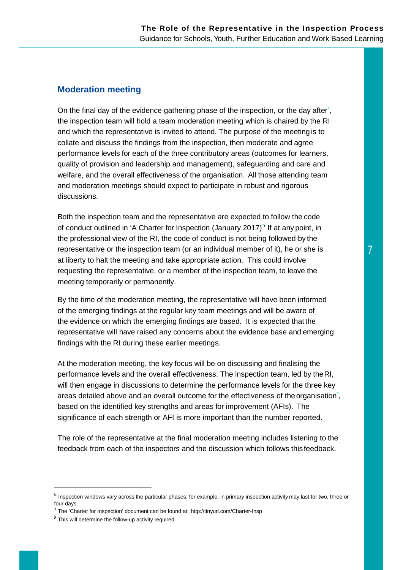#### **Moderation meeting**

On the final day of the evidence gathering phase of the inspection, or the day after<sup>e</sup>, the inspection team will hold a team moderation meeting which is chaired by the RI and which the representative is invited to attend. The purpose of the meeting is to collate and discuss the findings from the inspection, then moderate and agree performance levels for each of the three contributory areas (outcomes for learners, quality of provision and leadership and management), safeguarding and care and welfare, and the overall effectiveness of the organisation. All those attending team and moderation meetings should expect to participate in robust and rigorous discussions.

Both the inspection team and the representative are expected to follow the code of conduct outlined in 'A Charter for Inspection (January 2017) [7](#page-7-1) ' If at any point, in the professional view of the RI, the code of conduct is not being followed by the representative or the inspection team (or an individual member of it), he or she is at liberty to halt the meeting and take appropriate action. This could involve requesting the representative, or a member of the inspection team, to leave the meeting temporarily or permanently.

By the time of the moderation meeting, the representative will have been informed of the emerging findings at the regular key team meetings and will be aware of the evidence on which the emerging findings are based. It is expected that the representative will have raised any concerns about the evidence base and emerging findings with the RI during these earlier meetings.

At the moderation meeting, the key focus will be on discussing and finalising the performance levels and the overall effectiveness. The inspection team, led by theRI, will then engage in discussions to determine the performance levels for the three key areas detailed above and an overall outcome for the effectiveness of the organisation<sup>®</sup>, based on the identified key strengths and areas for improvement (AFIs). The significance of each strength or AFI is more important than the number reported.

The role of the representative at the final moderation meeting includes listening to the feedback from each of the inspectors and the discussion which follows thisfeedback.

<span id="page-7-0"></span> $6$  Inspection windows vary across the particular phases; for example, in primary inspection activity may last for two, three or four days.

<span id="page-7-1"></span> $<sup>7</sup>$  The 'Charter for Inspection' document can be found at: <http://tinyurl.com/Charter-Insp></sup>

<span id="page-7-2"></span><sup>8</sup> This will determine the follow-up activity required.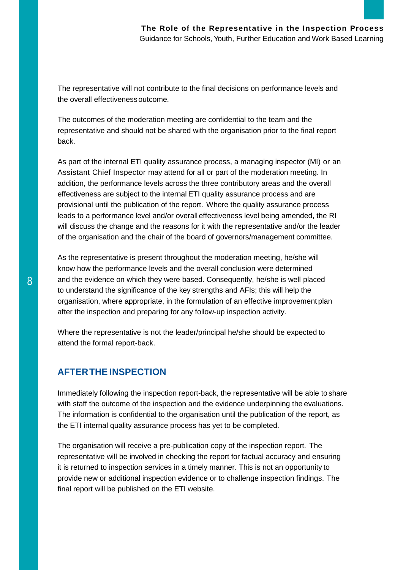The representative will not contribute to the final decisions on performance levels and the overall effectivenessoutcome.

The outcomes of the moderation meeting are confidential to the team and the representative and should not be shared with the organisation prior to the final report back.

As part of the internal ETI quality assurance process, a managing inspector (MI) or an Assistant Chief Inspector may attend for all or part of the moderation meeting. In addition, the performance levels across the three contributory areas and the overall effectiveness are subject to the internal ETI quality assurance process and are provisional until the publication of the report. Where the quality assurance process leads to a performance level and/or overall effectiveness level being amended, the RI will discuss the change and the reasons for it with the representative and/or the leader of the organisation and the chair of the board of governors/management committee.

As the representative is present throughout the moderation meeting, he/she will know how the performance levels and the overall conclusion were determined 8 and the evidence on which they were based. Consequently, he/she is well placed to understand the significance of the key strengths and AFIs; this will help the organisation, where appropriate, in the formulation of an effective improvement plan after the inspection and preparing for any follow-up inspection activity.

> Where the representative is not the leader/principal he/she should be expected to attend the formal report-back.

# **AFTERTHE INSPECTION**

Immediately following the inspection report-back, the representative will be able to share with staff the outcome of the inspection and the evidence underpinning the evaluations. The information is confidential to the organisation until the publication of the report, as the ETI internal quality assurance process has yet to be completed.

The organisation will receive a pre-publication copy of the inspection report. The representative will be involved in checking the report for factual accuracy and ensuring it is returned to inspection services in a timely manner. This is not an opportunity to provide new or additional inspection evidence or to challenge inspection findings. The final report will be published on the ETI website.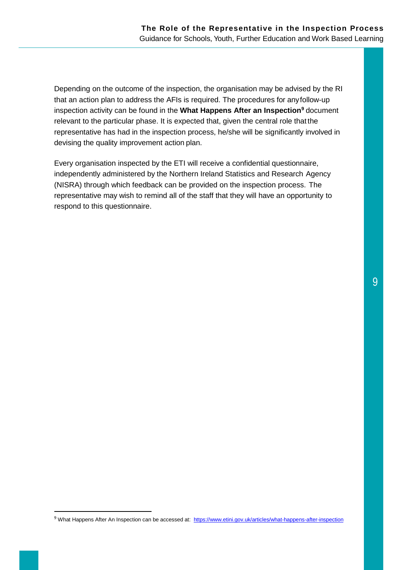Depending on the outcome of the inspection, the organisation may be advised by the RI that an action plan to address the AFIs is required. The procedures for anyfollow-up inspection activity can be found in the **What Happens After an Inspection[9](#page-9-0)** document relevant to the particular phase. It is expected that, given the central role that the representative has had in the inspection process, he/she will be significantly involved in devising the quality improvement action plan.

Every organisation inspected by the ETI will receive a confidential questionnaire, independently administered by the Northern Ireland Statistics and Research Agency (NISRA) through which feedback can be provided on the inspection process. The representative may wish to remind all of the staff that they will have an opportunity to respond to this questionnaire.

<span id="page-9-0"></span><sup>9</sup> What Happens After An Inspection can be accessed at: <https://www.etini.gov.uk/articles/what-happens-after-inspection>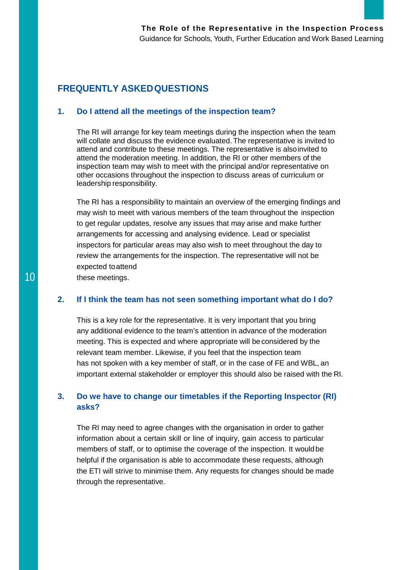# **FREQUENTLY ASKEDQUESTIONS**

#### **1. Do I attend all the meetings of the inspection team?**

The RI will arrange for key team meetings during the inspection when the team will collate and discuss the evidence evaluated. The representative is invited to attend and contribute to these meetings. The representative is alsoinvited to attend the moderation meeting. In addition, the RI or other members of the inspection team may wish to meet with the principal and/or representative on other occasions throughout the inspection to discuss areas of curriculum or leadership responsibility.

The RI has a responsibility to maintain an overview of the emerging findings and may wish to meet with various members of the team throughout the inspection to get regular updates, resolve any issues that may arise and make further arrangements for accessing and analysing evidence. Lead or specialist inspectors for particular areas may also wish to meet throughout the day to review the arrangements for the inspection. The representative will not be expected toattend

10 these meetings.

#### **2. If I think the team has not seen something important what do I do?**

This is a key role for the representative. It is very important that you bring any additional evidence to the team's attention in advance of the moderation meeting. This is expected and where appropriate will be considered by the relevant team member. Likewise, if you feel that the inspection team has not spoken with a key member of staff, or in the case of FE and WBL, an important external stakeholder or employer this should also be raised with the RI.

#### **3. Do we have to change our timetables if the Reporting Inspector (RI) asks?**

The RI may need to agree changes with the organisation in order to gather information about a certain skill or line of inquiry, gain access to particular members of staff, or to optimise the coverage of the inspection. It wouldbe helpful if the organisation is able to accommodate these requests, although the ETI will strive to minimise them. Any requests for changes should be made through the representative.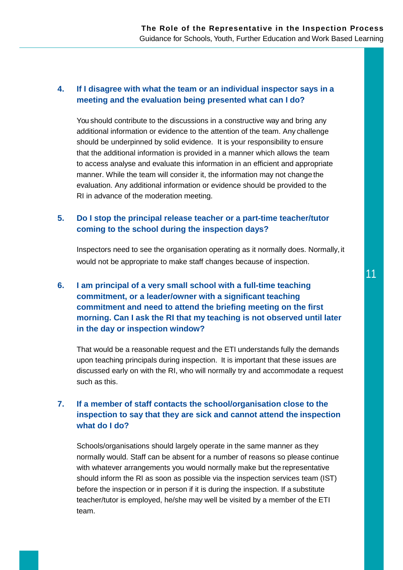#### **4. If I disagree with what the team or an individual inspector says in a meeting and the evaluation being presented what can I do?**

You should contribute to the discussions in a constructive way and bring any additional information or evidence to the attention of the team. Any challenge should be underpinned by solid evidence. It is your responsibility to ensure that the additional information is provided in a manner which allows the team to access analyse and evaluate this information in an efficient and appropriate manner. While the team will consider it, the information may not change the evaluation. Any additional information or evidence should be provided to the RI in advance of the moderation meeting.

#### **5. Do I stop the principal release teacher or a part-time teacher/tutor coming to the school during the inspection days?**

Inspectors need to see the organisation operating as it normally does. Normally, it would not be appropriate to make staff changes because of inspection.

# **6. I am principal of a very small school with a full-time teaching commitment, or a leader/owner with a significant teaching commitment and need to attend the briefing meeting on the first morning. Can I ask the RI that my teaching is not observed until later in the day or inspection window?**

That would be a reasonable request and the ETI understands fully the demands upon teaching principals during inspection. It is important that these issues are discussed early on with the RI, who will normally try and accommodate a request such as this.

## **7. If a member of staff contacts the school/organisation close to the inspection to say that they are sick and cannot attend the inspection what do I do?**

Schools/organisations should largely operate in the same manner as they normally would. Staff can be absent for a number of reasons so please continue with whatever arrangements you would normally make but the representative should inform the RI as soon as possible via the inspection services team (IST) before the inspection or in person if it is during the inspection. If a substitute teacher/tutor is employed, he/she may well be visited by a member of the ETI team.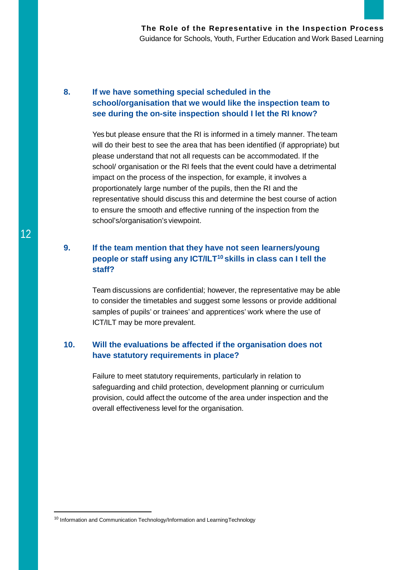#### **8. If we have something special scheduled in the school/organisation that we would like the inspection team to see during the on-site inspection should I let the RI know?**

Yes but please ensure that the RI is informed in a timely manner. The team will do their best to see the area that has been identified (if appropriate) but please understand that not all requests can be accommodated. If the school/ organisation or the RI feels that the event could have a detrimental impact on the process of the inspection, for example, it involves a proportionately large number of the pupils, then the RI and the representative should discuss this and determine the best course of action to ensure the smooth and effective running of the inspection from the school's/organisation's viewpoint.

# **9. If the team mention that they have not seen learners/young people or staff using any ICT/ILT[10](#page-12-0) skills in class can I tell the staff?**

Team discussions are confidential; however, the representative may be able to consider the timetables and suggest some lessons or provide additional samples of pupils' or trainees' and apprentices' work where the use of ICT/ILT may be more prevalent.

## **10. Will the evaluations be affected if the organisation does not have statutory requirements in place?**

Failure to meet statutory requirements, particularly in relation to safeguarding and child protection, development planning or curriculum provision, could affect the outcome of the area under inspection and the overall effectiveness level for the organisation.

<span id="page-12-0"></span><sup>&</sup>lt;sup>10</sup> Information and Communication Technology/Information and LearningTechnology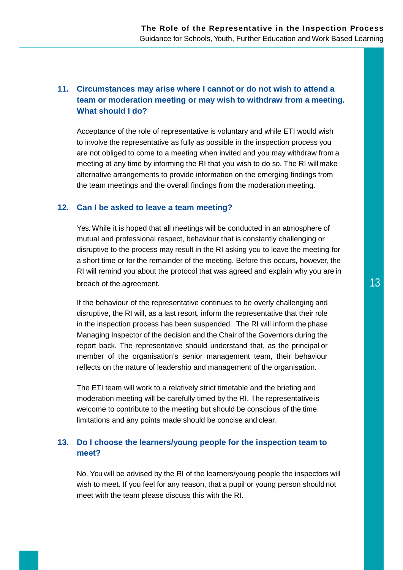# **11. Circumstances may arise where I cannot or do not wish to attend a team or moderation meeting or may wish to withdraw from a meeting. What should I do?**

Acceptance of the role of representative is voluntary and while ETI would wish to involve the representative as fully as possible in the inspection process you are not obliged to come to a meeting when invited and you may withdraw from a meeting at any time by informing the RI that you wish to do so. The RI willmake alternative arrangements to provide information on the emerging findings from the team meetings and the overall findings from the moderation meeting.

#### **12. Can I be asked to leave a team meeting?**

Yes. While it is hoped that all meetings will be conducted in an atmosphere of mutual and professional respect, behaviour that is constantly challenging or disruptive to the process may result in the RI asking you to leave the meeting for a short time or for the remainder of the meeting. Before this occurs, however, the RI will remind you about the protocol that was agreed and explain why you are in breach of the agreement. The state of the agreement.

If the behaviour of the representative continues to be overly challenging and disruptive, the RI will, as a last resort, inform the representative that their role in the inspection process has been suspended. The RI will inform the phase Managing Inspector of the decision and the Chair of the Governors during the report back. The representative should understand that, as the principal or member of the organisation's senior management team, their behaviour reflects on the nature of leadership and management of the organisation.

The ETI team will work to a relatively strict timetable and the briefing and moderation meeting will be carefully timed by the RI. The representative is welcome to contribute to the meeting but should be conscious of the time limitations and any points made should be concise and clear.

#### **13. Do I choose the learners/young people for the inspection team to meet?**

No. You will be advised by the RI of the learners/young people the inspectors will wish to meet. If you feel for any reason, that a pupil or young person should not meet with the team please discuss this with the RI.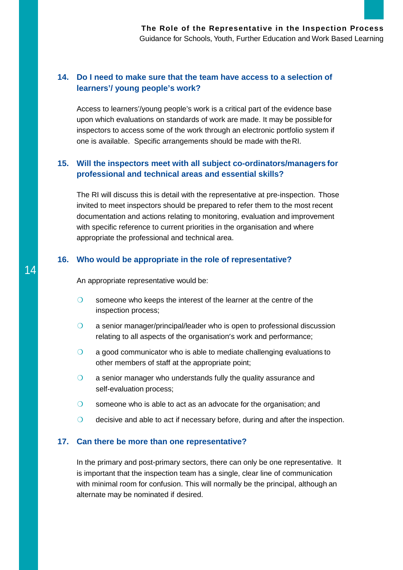#### **14. Do I need to make sure that the team have access to a selection of learners'/ young people's work?**

Access to learners'/young people's work is a critical part of the evidence base upon which evaluations on standards of work are made. It may be possible for inspectors to access some of the work through an electronic portfolio system if one is available. Specific arrangements should be made with theRI.

## **15. Will the inspectors meet with all subject co-ordinators/managers for professional and technical areas and essential skills?**

The RI will discuss this is detail with the representative at pre-inspection. Those invited to meet inspectors should be prepared to refer them to the most recent documentation and actions relating to monitoring, evaluation and improvement with specific reference to current priorities in the organisation and where appropriate the professional and technical area.

#### **16. Who would be appropriate in the role of representative?**

14 **14** An appropriate representative would be:

- O someone who keeps the interest of the learner at the centre of the inspection process;
- O a senior manager/principal/leader who is open to professional discussion relating to all aspects of the organisation's work and performance;
- ❍ a good communicator who is able to mediate challenging evaluations to other members of staff at the appropriate point;
- O a senior manager who understands fully the quality assurance and self-evaluation process;
- O someone who is able to act as an advocate for the organisation; and
- ❍ decisive and able to act if necessary before, during and after the inspection.

#### **17. Can there be more than one representative?**

In the primary and post-primary sectors, there can only be one representative. It is important that the inspection team has a single, clear line of communication with minimal room for confusion. This will normally be the principal, although an alternate may be nominated if desired.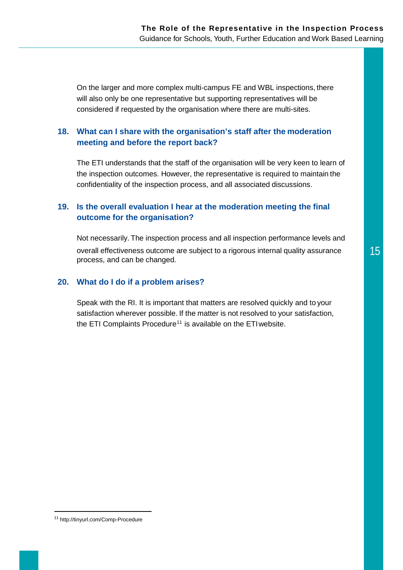On the larger and more complex multi-campus FE and WBL inspections, there will also only be one representative but supporting representatives will be considered if requested by the organisation where there are multi-sites.

#### **18. What can I share with the organisation's staff after the moderation meeting and before the report back?**

The ETI understands that the staff of the organisation will be very keen to learn of the inspection outcomes. However, the representative is required to maintain the confidentiality of the inspection process, and all associated discussions.

#### **19. Is the overall evaluation I hear at the moderation meeting the final outcome for the organisation?**

Not necessarily. The inspection process and all inspection performance levels and overall effectiveness outcome are subject to a rigorous internal quality assurance 15 process, and can be changed.

#### **20. What do I do if a problem arises?**

Speak with the RI. It is important that matters are resolved quickly and to your satisfaction wherever possible. If the matter is not resolved to your satisfaction, the ETI Complaints Procedure<sup>[11](#page-15-0)</sup> is available on the ETI website.

<span id="page-15-0"></span> <sup>11</sup> <http://tinyurl.com/Comp-Procedure>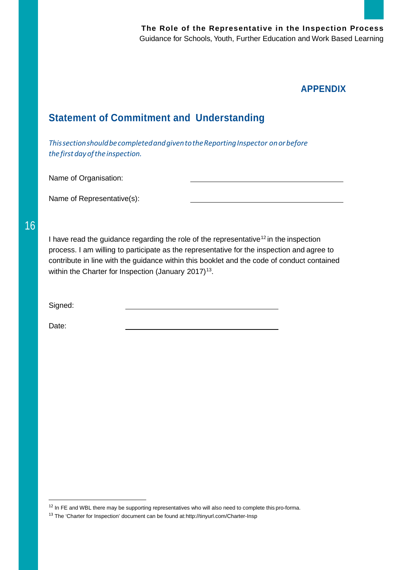# **APPENDIX**

# **Statement of Commitment and Understanding**

*ThissectionshouldbecompletedandgiventotheReportingInspector onorbefore thefirstdayoftheinspection.*

Name of Organisation:

Name of Representative(s):

16

I have read the guidance regarding the role of the representative<sup>[12](#page-16-0)</sup> in the inspection process. I am willing to participate as the representative for the inspection and agree to contribute in line with the guidance within this booklet and the code of conduct contained within the Charter for Inspection (January 2017)<sup>13</sup>.

Signed:

Date:

<span id="page-16-0"></span> $12$  In FE and WBL there may be supporting representatives who will also need to complete this pro-forma.

<span id="page-16-1"></span><sup>13</sup> The 'Charter for Inspection' document can be found at[:http://tinyurl.com/Charter-Insp](http://tinyurl.com/Charter-Insp)